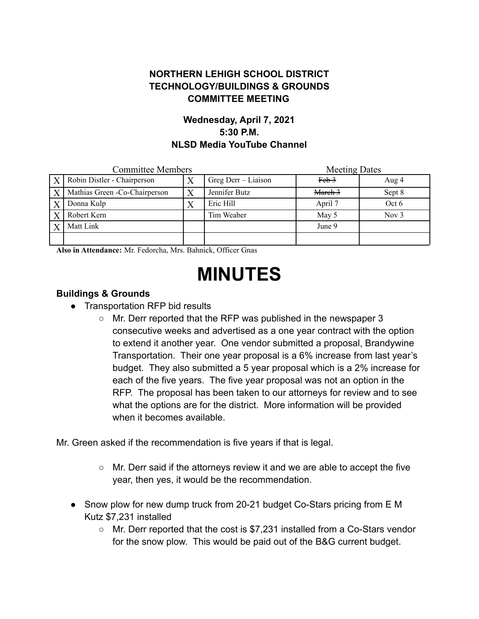## **NORTHERN LEHIGH SCHOOL DISTRICT TECHNOLOGY/BUILDINGS & GROUNDS COMMITTEE MEETING**

## **Wednesday, April 7, 2021 5:30 P.M. NLSD Media YouTube Channel**

| <b>Committee Members</b> |                                |  |                     | <b>Meeting Dates</b> |         |
|--------------------------|--------------------------------|--|---------------------|----------------------|---------|
| $\boldsymbol{X}$         | Robin Distler - Chairperson    |  | Greg Derr - Liaison | <del>Feb 3</del>     | Aug 4   |
| $\boldsymbol{X}$         | Mathias Green - Co-Chairperson |  | Jennifer Butz       | March 3              | Sept 8  |
|                          | Donna Kulp                     |  | Eric Hill           | April 7              | Oct 6   |
| X                        | Robert Kern                    |  | Tim Weaber          | May 5                | Nov $3$ |
|                          | Matt Link                      |  |                     | June 9               |         |
|                          |                                |  |                     |                      |         |

**Also in Attendance:** Mr. Fedorcha, Mrs. Bahnick, Officer Gnas

# **MINUTES**

#### **Buildings & Grounds**

- Transportation RFP bid results
	- Mr. Derr reported that the RFP was published in the newspaper 3 consecutive weeks and advertised as a one year contract with the option to extend it another year. One vendor submitted a proposal, Brandywine Transportation. Their one year proposal is a 6% increase from last year's budget. They also submitted a 5 year proposal which is a 2% increase for each of the five years. The five year proposal was not an option in the RFP. The proposal has been taken to our attorneys for review and to see what the options are for the district. More information will be provided when it becomes available.

Mr. Green asked if the recommendation is five years if that is legal.

- Mr. Derr said if the attorneys review it and we are able to accept the five year, then yes, it would be the recommendation.
- Snow plow for new dump truck from 20-21 budget Co-Stars pricing from E M Kutz \$7,231 installed
	- Mr. Derr reported that the cost is \$7,231 installed from a Co-Stars vendor for the snow plow. This would be paid out of the B&G current budget.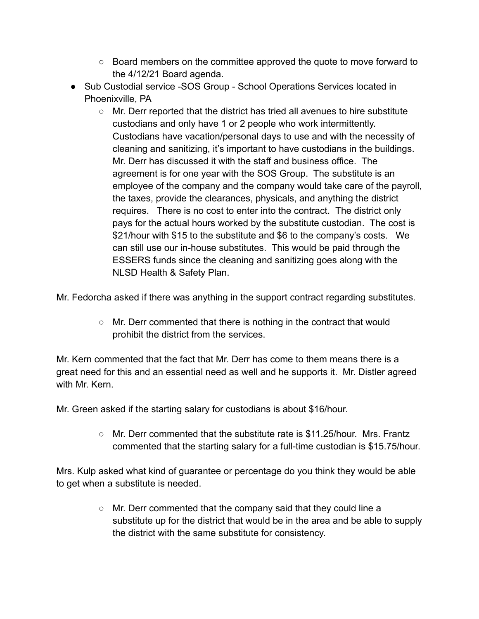- $\circ$  Board members on the committee approved the quote to move forward to the 4/12/21 Board agenda.
- Sub Custodial service -SOS Group School Operations Services located in Phoenixville, PA
	- Mr. Derr reported that the district has tried all avenues to hire substitute custodians and only have 1 or 2 people who work intermittently. Custodians have vacation/personal days to use and with the necessity of cleaning and sanitizing, it's important to have custodians in the buildings. Mr. Derr has discussed it with the staff and business office. The agreement is for one year with the SOS Group. The substitute is an employee of the company and the company would take care of the payroll, the taxes, provide the clearances, physicals, and anything the district requires. There is no cost to enter into the contract. The district only pays for the actual hours worked by the substitute custodian. The cost is \$21/hour with \$15 to the substitute and \$6 to the company's costs. We can still use our in-house substitutes. This would be paid through the ESSERS funds since the cleaning and sanitizing goes along with the NLSD Health & Safety Plan.

Mr. Fedorcha asked if there was anything in the support contract regarding substitutes.

○ Mr. Derr commented that there is nothing in the contract that would prohibit the district from the services.

Mr. Kern commented that the fact that Mr. Derr has come to them means there is a great need for this and an essential need as well and he supports it. Mr. Distler agreed with Mr. Kern.

Mr. Green asked if the starting salary for custodians is about \$16/hour.

 $\circ$  Mr. Derr commented that the substitute rate is \$11.25/hour. Mrs. Frantz commented that the starting salary for a full-time custodian is \$15.75/hour.

Mrs. Kulp asked what kind of guarantee or percentage do you think they would be able to get when a substitute is needed.

> ○ Mr. Derr commented that the company said that they could line a substitute up for the district that would be in the area and be able to supply the district with the same substitute for consistency.